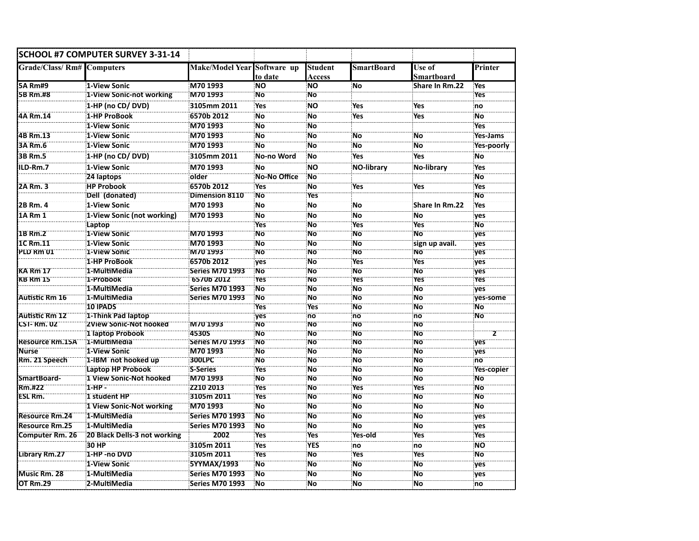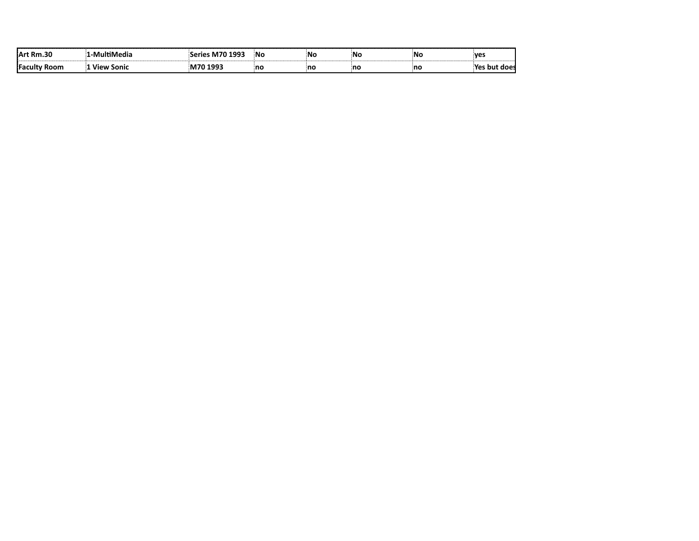|  | 'NC. | N0!<br>$\overline{\phantom{a}}$ | ۱N |     | <b>VAS</b> |
|--|------|---------------------------------|----|-----|------------|
|  | no   | no                              | no | .nc |            |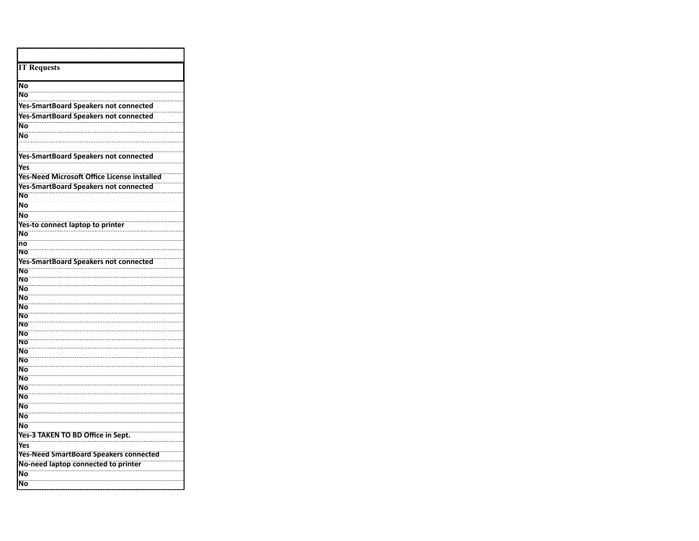| <b>IT Requests</b>                                 |  |  |  |  |
|----------------------------------------------------|--|--|--|--|
| No                                                 |  |  |  |  |
| Nο                                                 |  |  |  |  |
|                                                    |  |  |  |  |
| Yes-SmartBoard Speakers not connected              |  |  |  |  |
| <b>Yes-SmartBoard Speakers not connected</b>       |  |  |  |  |
| Ñο                                                 |  |  |  |  |
| Ñö                                                 |  |  |  |  |
|                                                    |  |  |  |  |
| <b>Yes-SmartBoard Speakers not connected</b>       |  |  |  |  |
| Yes                                                |  |  |  |  |
| <b>Yes-Need Microsoft Office License installed</b> |  |  |  |  |
| <b>Yes-SmartBoard Speakers not connected</b>       |  |  |  |  |
| Nο<br>Ñο                                           |  |  |  |  |
|                                                    |  |  |  |  |
| Nο                                                 |  |  |  |  |
| <b>Yes-to connect laptop to printer</b><br>Ñö      |  |  |  |  |
| $\overline{no}$                                    |  |  |  |  |
| Νö                                                 |  |  |  |  |
| <b>Yes-SmartBoard Speakers not connected</b>       |  |  |  |  |
| Ñö                                                 |  |  |  |  |
| Νö                                                 |  |  |  |  |
| Ñö                                                 |  |  |  |  |
| Ñο                                                 |  |  |  |  |
| Nο                                                 |  |  |  |  |
| Ñö                                                 |  |  |  |  |
| Νö                                                 |  |  |  |  |
| Ñο<br>Νö                                           |  |  |  |  |
| Ñö                                                 |  |  |  |  |
| Ñö                                                 |  |  |  |  |
| Ñο                                                 |  |  |  |  |
| Ñο                                                 |  |  |  |  |
| Ñö                                                 |  |  |  |  |
| Ñο                                                 |  |  |  |  |
| Ño                                                 |  |  |  |  |
| Ñο                                                 |  |  |  |  |
| Ño                                                 |  |  |  |  |
| Yes-3 TAKEN TO BD Office in Sept.                  |  |  |  |  |
| Yes                                                |  |  |  |  |
| <b>Yes-Need SmartBoard Speakers connected</b>      |  |  |  |  |
| No-need laptop connected to printer                |  |  |  |  |
| Ñο                                                 |  |  |  |  |
| Ño                                                 |  |  |  |  |